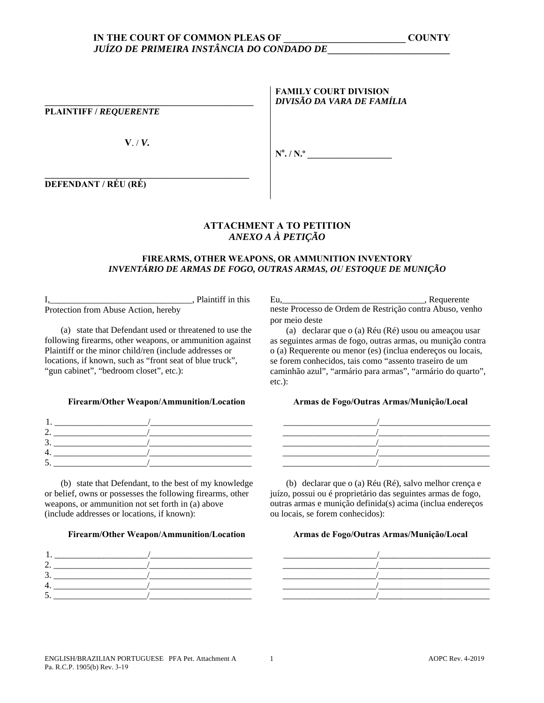# **\_\_\_\_\_\_\_\_\_\_\_\_\_\_\_\_\_\_\_\_\_\_\_\_\_\_\_\_\_\_\_\_\_\_\_\_\_\_\_\_\_\_\_\_\_\_\_**

**PLAINTIFF /** *REQUERENTE*

**V**. / *V.*

**FAMILY COURT DIVISION**  *DIVISÃO DA VARA DE FAMÍLIA* 

**No . / N.º \_\_\_\_\_\_\_\_\_\_\_\_\_\_\_\_\_\_\_** 

**DEFENDANT / RÉU (RÉ)**

## **ATTACHMENT А TO PETITION**  *ANEXO A À PETIÇÃO*

### **FIREARMS, OTHER WEAPONS, OR AMMUNITION INVENTORY**  *INVENTÁRIO DE ARMAS DE FOGO, OUTRAS ARMAS, OU ESTOQUE DE MUNIÇÃO*

I,\_\_\_\_\_\_\_\_\_\_\_\_\_\_\_\_\_\_\_\_\_\_\_\_\_\_\_\_\_\_\_\_, Plaintiff in this Protection from Abuse Action, hereby

(a) state that Defendant used or threatened to use the following firearms, other weapons, or ammunition against Plaintiff or the minor child/ren (include addresses or locations, if known, such as "front seat of blue truck", "gun cabinet", "bedroom closet", etc.):

### **Firearm/Other Weapon/Ammunition/Location Armas de Fogo/Outras Armas/Munição/Local**

| ۰ |  |
|---|--|
|   |  |

(b) state that Defendant, to the best of my knowledge or belief, owns or possesses the following firearms, other weapons, or ammunition not set forth in (a) above (include addresses or locations, if known):

### **Firearm/Other Weapon/Ammunition/Location Armas de Fogo/Outras Armas/Munição/Local**



Eu. Proposal extended a proposal extended a proposal extended a proposal extended a proposal extended a proposal extended a proposal extended a proposal extended a proposal extended a proposal extended a proposal extended neste Processo de Ordem de Restrição contra Abuso, venho por meio deste

(a) declarar que o (a) Réu (Ré) usou ou ameaçou usar as seguintes armas de fogo, outras armas, ou munição contra o (a) Requerente ou menor (es) (inclua endereços ou locais, se forem conhecidos, tais como "assento traseiro de um caminhão azul", "armário para armas", "armário do quarto", etc.):



(b) declarar que o (a) Réu (Ré), salvo melhor crença e juízo, possui ou é proprietário das seguintes armas de fogo, outras armas e munição definida(s) acima (inclua endereços ou locais, se forem conhecidos):